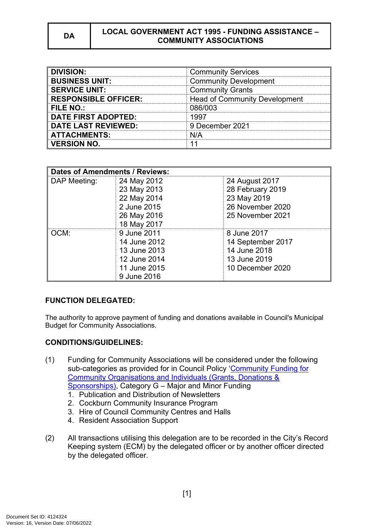#### **DA LOCAL GOVERNMENT ACT 1995 - FUNDING ASSISTANCE – COMMUNITY ASSOCIATIONS**

| <b>DIVISION:</b>            | <b>Community Services</b>            |
|-----------------------------|--------------------------------------|
| <b>BUSINESS UNIT:</b>       | <b>Community Development</b>         |
| <b>SERVICE UNIT:</b>        | <b>Community Grants</b>              |
| <b>RESPONSIBLE OFFICER:</b> | <b>Head of Community Development</b> |
| <b>FILE NO.:</b>            | 086/003                              |
| <b>DATE FIRST ADOPTED:</b>  | 1997                                 |
| <b>DATE LAST REVIEWED:</b>  | 9 December 2021                      |
| <b>ATTACHMENTS:</b>         | N/A                                  |
| <b>VERSION NO.</b>          |                                      |

| <b>Dates of Amendments / Reviews:</b> |              |                   |
|---------------------------------------|--------------|-------------------|
| DAP Meeting:                          | 24 May 2012  | 24 August 2017    |
|                                       | 23 May 2013  | 28 February 2019  |
|                                       | 22 May 2014  | 23 May 2019       |
|                                       | 2 June 2015  | 26 November 2020  |
|                                       | 26 May 2016  | 25 November 2021  |
|                                       | 18 May 2017  |                   |
| OCM:                                  | 9 June 2011  | 8 June 2017       |
|                                       | 14 June 2012 | 14 September 2017 |
|                                       | 13 June 2013 | 14 June 2018      |
|                                       | 12 June 2014 | 13 June 2019      |
|                                       | 11 June 2015 | 10 December 2020  |
|                                       | 9 June 2016  |                   |

### **FUNCTION DELEGATED:**

The authority to approve payment of funding and donations available in Council's Municipal Budget for Community Associations.

# **CONDITIONS/GUIDELINES:**

- (1) Funding for Community Associations will be considered under the following sub-categories as provided for in Council Policy '[Community Funding for](https://www.cockburn.wa.gov.au/getattachment/28c3fe52-aeb1-42b4-b0c7-64d4398e4bef/ECM_8242612_v4_Community-Funding-for-Community-Organisations-Individuals-(Grants,-Donations-Sponsorships)-Policy-docx.aspx)  [Community Organisations and Individuals \(Grants, Donations &](https://www.cockburn.wa.gov.au/getattachment/28c3fe52-aeb1-42b4-b0c7-64d4398e4bef/ECM_8242612_v4_Community-Funding-for-Community-Organisations-Individuals-(Grants,-Donations-Sponsorships)-Policy-docx.aspx)  [Sponsorships\),](https://www.cockburn.wa.gov.au/getattachment/28c3fe52-aeb1-42b4-b0c7-64d4398e4bef/ECM_8242612_v4_Community-Funding-for-Community-Organisations-Individuals-(Grants,-Donations-Sponsorships)-Policy-docx.aspx) Category G – Major and Minor Funding
	- 1. Publication and Distribution of Newsletters
	- 2. Cockburn Community Insurance Program
	- 3. Hire of Council Community Centres and Halls
	- 4. Resident Association Support
- (2) All transactions utilising this delegation are to be recorded in the City's Record Keeping system (ECM) by the delegated officer or by another officer directed by the delegated officer.